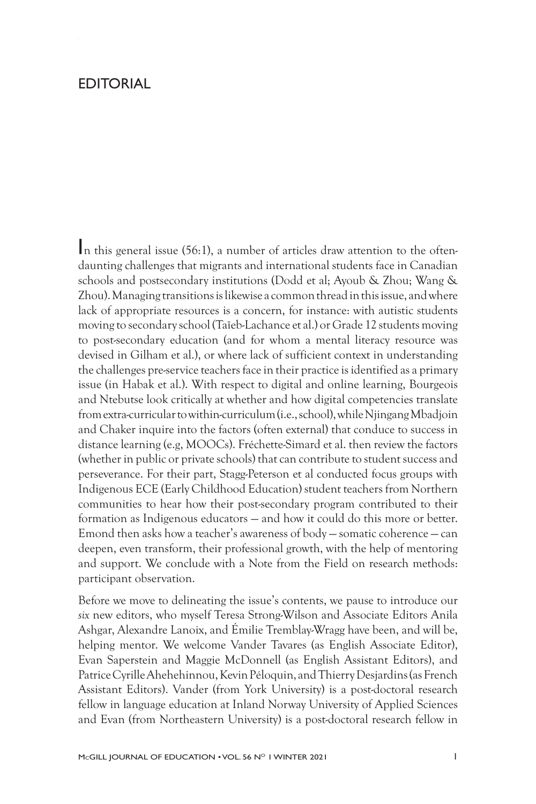## EDITORIAL

In this general issue (56:1), a number of articles draw attention to the oftendaunting challenges that migrants and international students face in Canadian schools and postsecondary institutions (Dodd et al; Ayoub & Zhou; Wang & Zhou). Managing transitions is likewise a common thread in this issue, and where lack of appropriate resources is a concern, for instance: with autistic students moving to secondary school (Taïeb-Lachance et al.) or Grade 12 students moving to post-secondary education (and for whom a mental literacy resource was devised in Gilham et al.), or where lack of sufficient context in understanding the challenges pre-service teachers face in their practice is identified as a primary issue (in Habak et al.). With respect to digital and online learning, Bourgeois and Ntebutse look critically at whether and how digital competencies translate from extra-curricular to within-curriculum (i.e., school), while Njingang Mbadjoin and Chaker inquire into the factors (often external) that conduce to success in distance learning (e.g, MOOCs). Fréchette-Simard et al. then review the factors (whether in public or private schools) that can contribute to student success and perseverance. For their part, Stagg-Peterson et al conducted focus groups with Indigenous ECE (Early Childhood Education) student teachers from Northern communities to hear how their post-secondary program contributed to their formation as Indigenous educators — and how it could do this more or better. Emond then asks how a teacher's awareness of body — somatic coherence — can deepen, even transform, their professional growth, with the help of mentoring and support. We conclude with a Note from the Field on research methods: participant observation.

Before we move to delineating the issue's contents, we pause to introduce our *six* new editors, who myself Teresa Strong-Wilson and Associate Editors Anila Ashgar, Alexandre Lanoix, and Émilie Tremblay-Wragg have been, and will be, helping mentor. We welcome Vander Tavares (as English Associate Editor), Evan Saperstein and Maggie McDonnell (as English Assistant Editors), and Patrice Cyrille Ahehehinnou, Kevin Péloquin, and Thierry Desjardins (as French Assistant Editors). Vander (from York University) is a post-doctoral research fellow in language education at Inland Norway University of Applied Sciences and Evan (from Northeastern University) is a post-doctoral research fellow in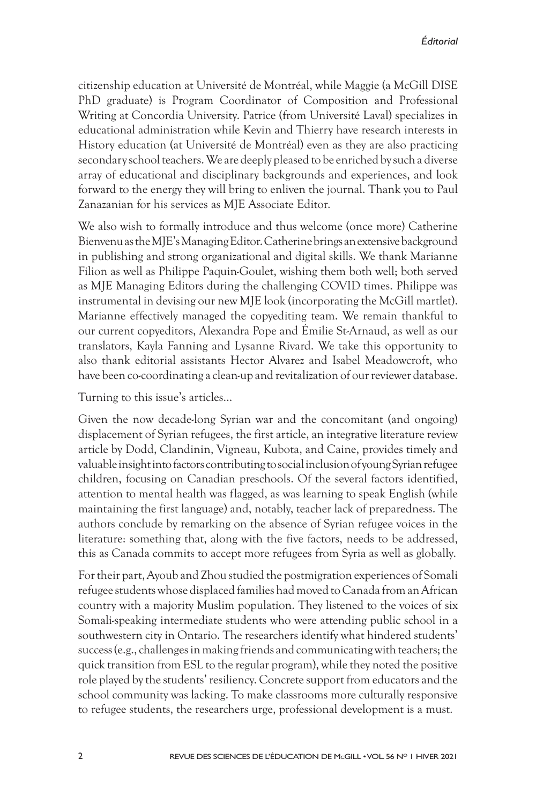citizenship education at Université de Montréal, while Maggie (a McGill DISE PhD graduate) is Program Coordinator of Composition and Professional Writing at Concordia University. Patrice (from Université Laval) specializes in educational administration while Kevin and Thierry have research interests in History education (at Université de Montréal) even as they are also practicing secondary school teachers. We are deeply pleased to be enriched by such a diverse array of educational and disciplinary backgrounds and experiences, and look forward to the energy they will bring to enliven the journal. Thank you to Paul Zanazanian for his services as MJE Associate Editor.

We also wish to formally introduce and thus welcome (once more) Catherine Bienvenu as the MJE's Managing Editor. Catherine brings an extensive background in publishing and strong organizational and digital skills. We thank Marianne Filion as well as Philippe Paquin-Goulet, wishing them both well; both served as MJE Managing Editors during the challenging COVID times. Philippe was instrumental in devising our new MJE look (incorporating the McGill martlet). Marianne effectively managed the copyediting team. We remain thankful to our current copyeditors, Alexandra Pope and Émilie St-Arnaud, as well as our translators, Kayla Fanning and Lysanne Rivard. We take this opportunity to also thank editorial assistants Hector Alvarez and Isabel Meadowcroft, who have been co-coordinating a clean-up and revitalization of our reviewer database.

Turning to this issue's articles…

Given the now decade-long Syrian war and the concomitant (and ongoing) displacement of Syrian refugees, the first article, an integrative literature review article by Dodd, Clandinin, Vigneau, Kubota, and Caine, provides timely and valuable insight into factors contributing to social inclusion of young Syrian refugee children, focusing on Canadian preschools. Of the several factors identified, attention to mental health was flagged, as was learning to speak English (while maintaining the first language) and, notably, teacher lack of preparedness. The authors conclude by remarking on the absence of Syrian refugee voices in the literature: something that, along with the five factors, needs to be addressed, this as Canada commits to accept more refugees from Syria as well as globally.

For their part, Ayoub and Zhou studied the postmigration experiences of Somali refugee students whose displaced families had moved to Canada from an African country with a majority Muslim population. They listened to the voices of six Somali-speaking intermediate students who were attending public school in a southwestern city in Ontario. The researchers identify what hindered students' success (e.g., challenges in making friends and communicating with teachers; the quick transition from ESL to the regular program), while they noted the positive role played by the students' resiliency. Concrete support from educators and the school community was lacking. To make classrooms more culturally responsive to refugee students, the researchers urge, professional development is a must.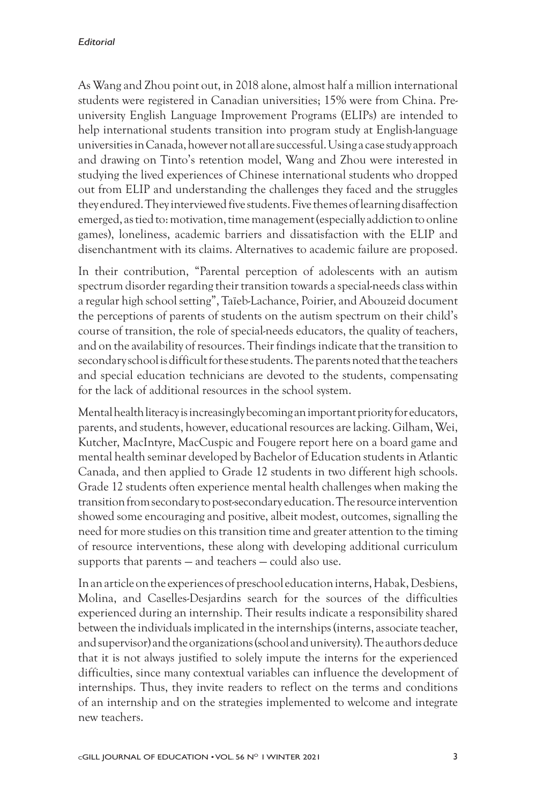## *Editorial*

As Wang and Zhou point out, in 2018 alone, almost half a million international students were registered in Canadian universities; 15% were from China. Preuniversity English Language Improvement Programs (ELIPs) are intended to help international students transition into program study at English-language universities in Canada, however not all are successful. Using a case study approach and drawing on Tinto's retention model, Wang and Zhou were interested in studying the lived experiences of Chinese international students who dropped out from ELIP and understanding the challenges they faced and the struggles they endured. They interviewed five students. Five themes of learning disaffection emerged, as tied to: motivation, time management (especially addiction to online games), loneliness, academic barriers and dissatisfaction with the ELIP and disenchantment with its claims. Alternatives to academic failure are proposed.

In their contribution, "Parental perception of adolescents with an autism spectrum disorder regarding their transition towards a special-needs class within a regular high school setting", Taïeb-Lachance, Poirier, and Abouzeid document the perceptions of parents of students on the autism spectrum on their child's course of transition, the role of special-needs educators, the quality of teachers, and on the availability of resources. Their findings indicate that the transition to secondary school is difficult for these students. The parents noted that the teachers and special education technicians are devoted to the students, compensating for the lack of additional resources in the school system.

Mental health literacy is increasingly becoming an important priority for educators, parents, and students, however, educational resources are lacking. Gilham, Wei, Kutcher, MacIntyre, MacCuspic and Fougere report here on a board game and mental health seminar developed by Bachelor of Education students in Atlantic Canada, and then applied to Grade 12 students in two different high schools. Grade 12 students often experience mental health challenges when making the transition from secondary to post-secondary education. The resource intervention showed some encouraging and positive, albeit modest, outcomes, signalling the need for more studies on this transition time and greater attention to the timing of resource interventions, these along with developing additional curriculum supports that parents — and teachers — could also use.

In an article on the experiences of preschool education interns, Habak, Desbiens, Molina, and Caselles-Desjardins search for the sources of the difficulties experienced during an internship. Their results indicate a responsibility shared between the individuals implicated in the internships (interns, associate teacher, and supervisor) and the organizations (school and university). The authors deduce that it is not always justified to solely impute the interns for the experienced difficulties, since many contextual variables can influence the development of internships. Thus, they invite readers to reflect on the terms and conditions of an internship and on the strategies implemented to welcome and integrate new teachers.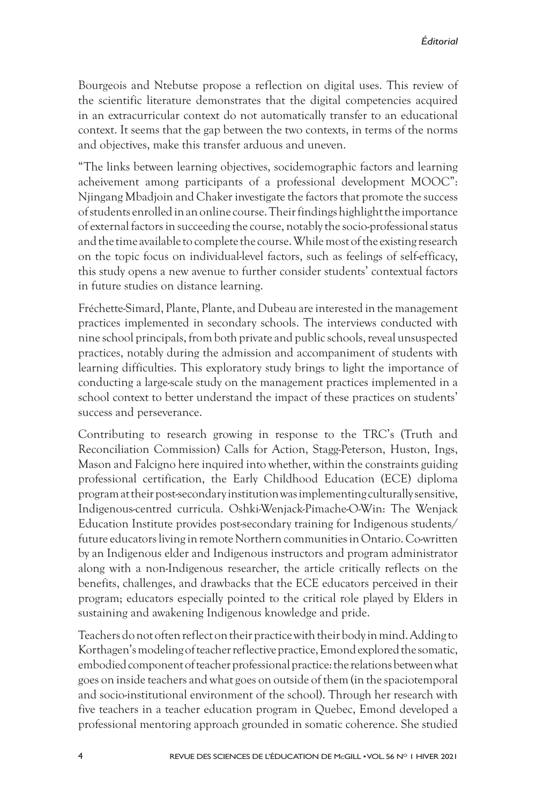Bourgeois and Ntebutse propose a reflection on digital uses. This review of the scientific literature demonstrates that the digital competencies acquired in an extracurricular context do not automatically transfer to an educational context. It seems that the gap between the two contexts, in terms of the norms and objectives, make this transfer arduous and uneven.

"The links between learning objectives, socidemographic factors and learning acheivement among participants of a professional development MOOC": Njingang Mbadjoin and Chaker investigate the factors that promote the success of students enrolled in an online course. Their findings highlight the importance of external factors in succeeding the course, notably the socio-professional status and the time available to complete the course. While most of the existing research on the topic focus on individual-level factors, such as feelings of self-efficacy, this study opens a new avenue to further consider students' contextual factors in future studies on distance learning.

Fréchette-Simard, Plante, Plante, and Dubeau are interested in the management practices implemented in secondary schools. The interviews conducted with nine school principals, from both private and public schools, reveal unsuspected practices, notably during the admission and accompaniment of students with learning difficulties. This exploratory study brings to light the importance of conducting a large-scale study on the management practices implemented in a school context to better understand the impact of these practices on students' success and perseverance.

Contributing to research growing in response to the TRC's (Truth and Reconciliation Commission) Calls for Action, Stagg-Peterson, Huston, Ings, Mason and Falcigno here inquired into whether, within the constraints guiding professional certification, the Early Childhood Education (ECE) diploma program at their post-secondary institution was implementing culturally sensitive, Indigenous-centred curricula. Oshki-Wenjack-Pimache-O-Win: The Wenjack Education Institute provides post-secondary training for Indigenous students/ future educators living in remote Northern communities in Ontario. Co-written by an Indigenous elder and Indigenous instructors and program administrator along with a non-Indigenous researcher, the article critically reflects on the benefits, challenges, and drawbacks that the ECE educators perceived in their program; educators especially pointed to the critical role played by Elders in sustaining and awakening Indigenous knowledge and pride.

Teachers do not often reflect on their practice with their body in mind. Adding to Korthagen's modeling of teacher reflective practice, Emond explored the somatic, embodied component of teacher professional practice: the relations between what goes on inside teachers and what goes on outside of them (in the spaciotemporal and socio-institutional environment of the school). Through her research with five teachers in a teacher education program in Quebec, Emond developed a professional mentoring approach grounded in somatic coherence. She studied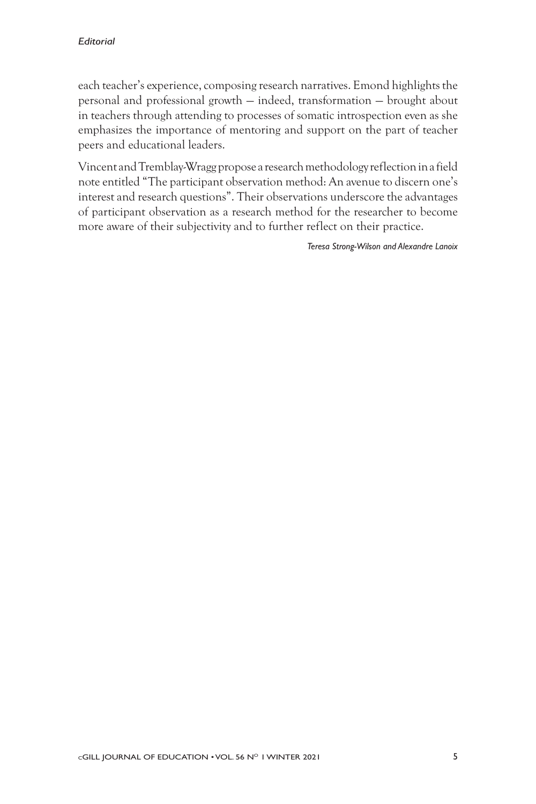each teacher's experience, composing research narratives. Emond highlights the personal and professional growth — indeed, transformation — brought about in teachers through attending to processes of somatic introspection even as she emphasizes the importance of mentoring and support on the part of teacher peers and educational leaders.

Vincent and Tremblay-Wragg propose a research methodology reflection in a field note entitled "The participant observation method: An avenue to discern one's interest and research questions". Their observations underscore the advantages of participant observation as a research method for the researcher to become more aware of their subjectivity and to further reflect on their practice.

*Teresa Strong-Wilson and Alexandre Lanoix*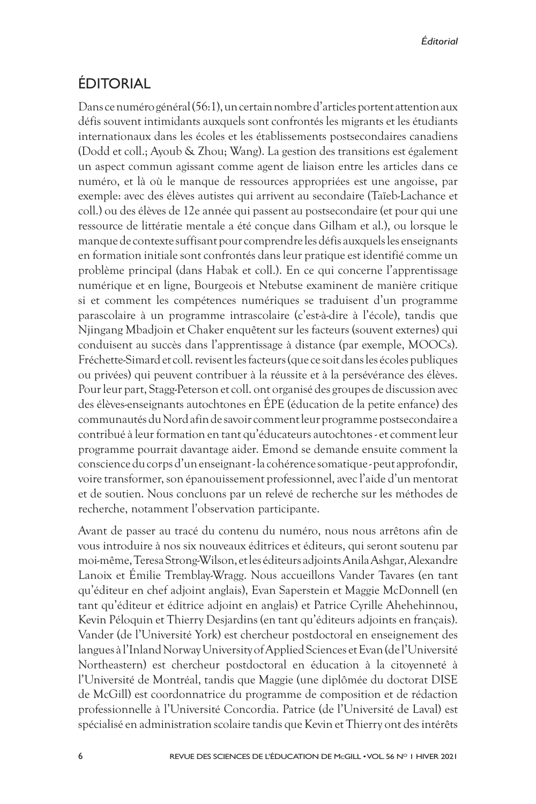## ÉDITORIAL

Dans ce numéro général (56:1), un certain nombre d'articles portent attention aux défis souvent intimidants auxquels sont confrontés les migrants et les étudiants internationaux dans les écoles et les établissements postsecondaires canadiens (Dodd et coll.; Ayoub & Zhou; Wang). La gestion des transitions est également un aspect commun agissant comme agent de liaison entre les articles dans ce numéro, et là où le manque de ressources appropriées est une angoisse, par exemple: avec des élèves autistes qui arrivent au secondaire (Taïeb-Lachance et coll.) ou des élèves de 12e année qui passent au postsecondaire (et pour qui une ressource de littératie mentale a été conçue dans Gilham et al.), ou lorsque le manque de contexte suffisant pour comprendre les défis auxquels les enseignants en formation initiale sont confrontés dans leur pratique est identifié comme un problème principal (dans Habak et coll.). En ce qui concerne l'apprentissage numérique et en ligne, Bourgeois et Ntebutse examinent de manière critique si et comment les compétences numériques se traduisent d'un programme parascolaire à un programme intrascolaire (c'est-à-dire à l'école), tandis que Njingang Mbadjoin et Chaker enquêtent sur les facteurs (souvent externes) qui conduisent au succès dans l'apprentissage à distance (par exemple, MOOCs). Fréchette-Simard et coll. revisent les facteurs (que ce soit dans les écoles publiques ou privées) qui peuvent contribuer à la réussite et à la persévérance des élèves. Pour leur part, Stagg-Peterson et coll. ont organisé des groupes de discussion avec des élèves-enseignants autochtones en ÉPE (éducation de la petite enfance) des communautés du Nord afin de savoir comment leur programme postsecondaire a contribué à leur formation en tant qu'éducateurs autochtones - et comment leur programme pourrait davantage aider. Emond se demande ensuite comment la conscience du corps d'un enseignant - la cohérence somatique - peut approfondir, voire transformer, son épanouissement professionnel, avec l'aide d'un mentorat et de soutien. Nous concluons par un relevé de recherche sur les méthodes de recherche, notamment l'observation participante.

Avant de passer au tracé du contenu du numéro, nous nous arrêtons afin de vous introduire à nos six nouveaux éditrices et éditeurs, qui seront soutenu par moi-même, Teresa Strong-Wilson, et les éditeurs adjoints Anila Ashgar, Alexandre Lanoix et Émilie Tremblay-Wragg. Nous accueillons Vander Tavares (en tant qu'éditeur en chef adjoint anglais), Evan Saperstein et Maggie McDonnell (en tant qu'éditeur et éditrice adjoint en anglais) et Patrice Cyrille Ahehehinnou, Kevin Péloquin et Thierry Desjardins (en tant qu'éditeurs adjoints en français). Vander (de l'Université York) est chercheur postdoctoral en enseignement des langues à l'Inland Norway University of Applied Sciences et Evan (de l'Université Northeastern) est chercheur postdoctoral en éducation à la citoyenneté à l'Université de Montréal, tandis que Maggie (une diplômée du doctorat DISE de McGill) est coordonnatrice du programme de composition et de rédaction professionnelle à l'Université Concordia. Patrice (de l'Université de Laval) est spécialisé en administration scolaire tandis que Kevin et Thierry ont des intérêts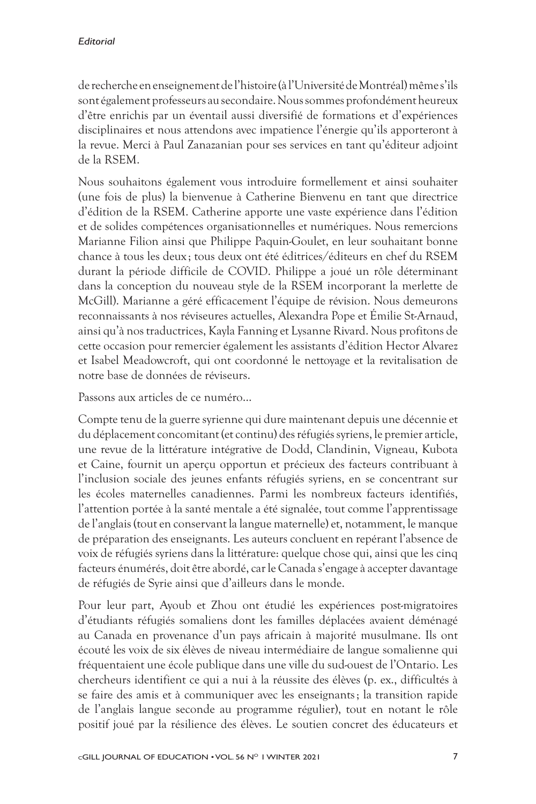de recherche en enseignement de l'histoire (à l'Université de Montréal) même s'ils sont également professeurs au secondaire. Nous sommes profondément heureux d'être enrichis par un éventail aussi diversifié de formations et d'expériences disciplinaires et nous attendons avec impatience l'énergie qu'ils apporteront à la revue. Merci à Paul Zanazanian pour ses services en tant qu'éditeur adjoint de la RSEM.

Nous souhaitons également vous introduire formellement et ainsi souhaiter (une fois de plus) la bienvenue à Catherine Bienvenu en tant que directrice d'édition de la RSEM. Catherine apporte une vaste expérience dans l'édition et de solides compétences organisationnelles et numériques. Nous remercions Marianne Filion ainsi que Philippe Paquin-Goulet, en leur souhaitant bonne chance à tous les deux ; tous deux ont été éditrices/éditeurs en chef du RSEM durant la période difficile de COVID. Philippe a joué un rôle déterminant dans la conception du nouveau style de la RSEM incorporant la merlette de McGill). Marianne a géré efficacement l'équipe de révision. Nous demeurons reconnaissants à nos réviseures actuelles, Alexandra Pope et Émilie St-Arnaud, ainsi qu'à nos traductrices, Kayla Fanning et Lysanne Rivard. Nous profitons de cette occasion pour remercier également les assistants d'édition Hector Alvarez et Isabel Meadowcroft, qui ont coordonné le nettoyage et la revitalisation de notre base de données de réviseurs.

Passons aux articles de ce numéro…

Compte tenu de la guerre syrienne qui dure maintenant depuis une décennie et du déplacement concomitant (et continu) des réfugiés syriens, le premier article, une revue de la littérature intégrative de Dodd, Clandinin, Vigneau, Kubota et Caine, fournit un aperçu opportun et précieux des facteurs contribuant à l'inclusion sociale des jeunes enfants réfugiés syriens, en se concentrant sur les écoles maternelles canadiennes. Parmi les nombreux facteurs identifiés, l'attention portée à la santé mentale a été signalée, tout comme l'apprentissage de l'anglais (tout en conservant la langue maternelle) et, notamment, le manque de préparation des enseignants. Les auteurs concluent en repérant l'absence de voix de réfugiés syriens dans la littérature: quelque chose qui, ainsi que les cinq facteurs énumérés, doit être abordé, car le Canada s'engage à accepter davantage de réfugiés de Syrie ainsi que d'ailleurs dans le monde.

Pour leur part, Ayoub et Zhou ont étudié les expériences post-migratoires d'étudiants réfugiés somaliens dont les familles déplacées avaient déménagé au Canada en provenance d'un pays africain à majorité musulmane. Ils ont écouté les voix de six élèves de niveau intermédiaire de langue somalienne qui fréquentaient une école publique dans une ville du sud-ouest de l'Ontario. Les chercheurs identifient ce qui a nui à la réussite des élèves (p. ex., difficultés à se faire des amis et à communiquer avec les enseignants; la transition rapide de l'anglais langue seconde au programme régulier), tout en notant le rôle positif joué par la résilience des élèves. Le soutien concret des éducateurs et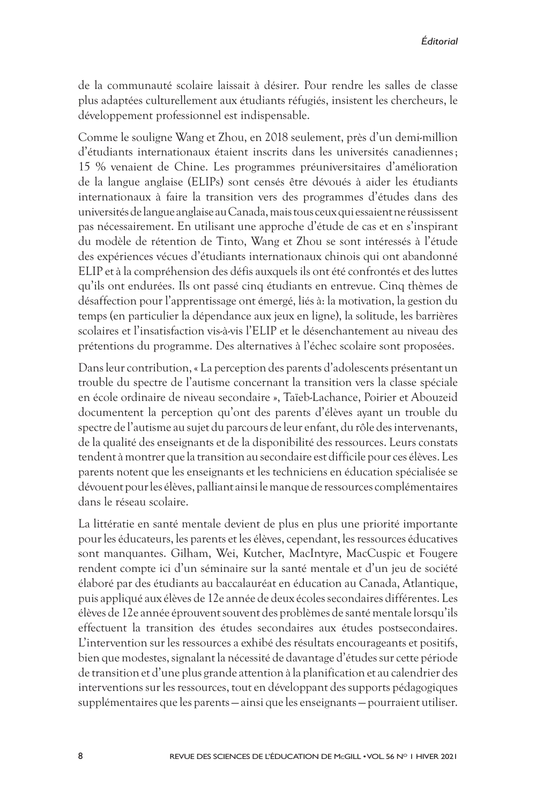de la communauté scolaire laissait à désirer. Pour rendre les salles de classe plus adaptées culturellement aux étudiants réfugiés, insistent les chercheurs, le développement professionnel est indispensable.

Comme le souligne Wang et Zhou, en 2018 seulement, près d'un demi-million d'étudiants internationaux étaient inscrits dans les universités canadiennes; 15 % venaient de Chine. Les programmes préuniversitaires d'amélioration de la langue anglaise (ELIPs) sont censés être dévoués à aider les étudiants internationaux à faire la transition vers des programmes d'études dans des universités de langue anglaise au Canada, mais tous ceux qui essaient ne réussissent pas nécessairement. En utilisant une approche d'étude de cas et en s'inspirant du modèle de rétention de Tinto, Wang et Zhou se sont intéressés à l'étude des expériences vécues d'étudiants internationaux chinois qui ont abandonné ELIP et à la compréhension des défis auxquels ils ont été confrontés et des luttes qu'ils ont endurées. Ils ont passé cinq étudiants en entrevue. Cinq thèmes de désaffection pour l'apprentissage ont émergé, liés à: la motivation, la gestion du temps (en particulier la dépendance aux jeux en ligne), la solitude, les barrières scolaires et l'insatisfaction vis-à-vis l'ELIP et le désenchantement au niveau des prétentions du programme. Des alternatives à l'échec scolaire sont proposées.

Dans leur contribution, « La perception des parents d'adolescents présentant un trouble du spectre de l'autisme concernant la transition vers la classe spéciale en école ordinaire de niveau secondaire », Taïeb-Lachance, Poirier et Abouzeid documentent la perception qu'ont des parents d'élèves ayant un trouble du spectre de l'autisme au sujet du parcours de leur enfant, du rôle des intervenants, de la qualité des enseignants et de la disponibilité des ressources. Leurs constats tendent à montrer que la transition au secondaire est difficile pour ces élèves. Les parents notent que les enseignants et les techniciens en éducation spécialisée se dévouent pour les élèves, palliant ainsi le manque de ressources complémentaires dans le réseau scolaire.

La littératie en santé mentale devient de plus en plus une priorité importante pour les éducateurs, les parents et les élèves, cependant, les ressources éducatives sont manquantes. Gilham, Wei, Kutcher, MacIntyre, MacCuspic et Fougere rendent compte ici d'un séminaire sur la santé mentale et d'un jeu de société élaboré par des étudiants au baccalauréat en éducation au Canada, Atlantique, puis appliqué aux élèves de 12e année de deux écoles secondaires différentes. Les élèves de 12e année éprouvent souvent des problèmes de santé mentale lorsqu'ils effectuent la transition des études secondaires aux études postsecondaires. L'intervention sur les ressources a exhibé des résultats encourageants et positifs, bien que modestes, signalant la nécessité de davantage d'études sur cette période de transition et d'une plus grande attention à la planification et au calendrier des interventions sur les ressources, tout en développant des supports pédagogiques supplémentaires que les parents — ainsi que les enseignants — pourraient utiliser.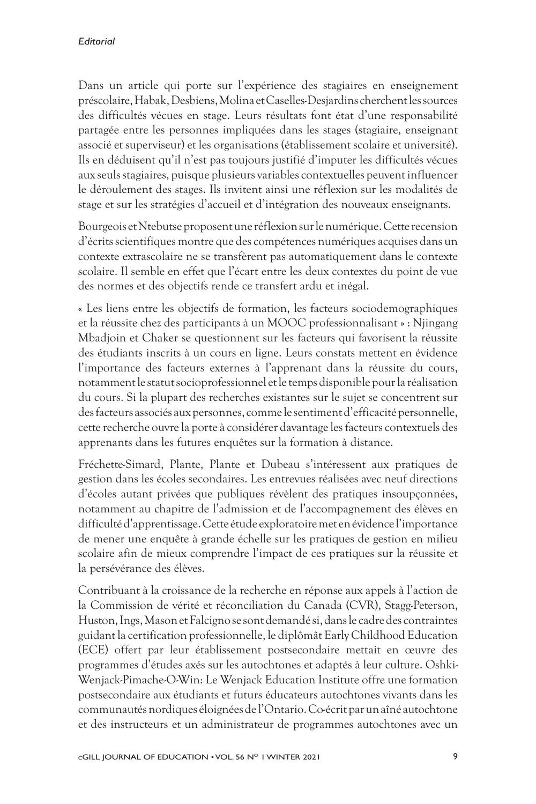Dans un article qui porte sur l'expérience des stagiaires en enseignement préscolaire, Habak, Desbiens, Molina et Caselles-Desjardins cherchent les sources des difficultés vécues en stage. Leurs résultats font état d'une responsabilité partagée entre les personnes impliquées dans les stages (stagiaire, enseignant associé et superviseur) et les organisations (établissement scolaire et université). Ils en déduisent qu'il n'est pas toujours justifié d'imputer les difficultés vécues aux seuls stagiaires, puisque plusieurs variables contextuelles peuvent influencer le déroulement des stages. Ils invitent ainsi une réflexion sur les modalités de stage et sur les stratégies d'accueil et d'intégration des nouveaux enseignants.

Bourgeois et Ntebutse proposent une réflexion sur le numérique. Cette recension d'écrits scientifiques montre que des compétences numériques acquises dans un contexte extrascolaire ne se transfèrent pas automatiquement dans le contexte scolaire. Il semble en effet que l'écart entre les deux contextes du point de vue des normes et des objectifs rende ce transfert ardu et inégal.

« Les liens entre les objectifs de formation, les facteurs sociodemographiques et la réussite chez des participants à un MOOC professionnalisant » : Njingang Mbadjoin et Chaker se questionnent sur les facteurs qui favorisent la réussite des étudiants inscrits à un cours en ligne. Leurs constats mettent en évidence l'importance des facteurs externes à l'apprenant dans la réussite du cours, notamment le statut socioprofessionnel et le temps disponible pour la réalisation du cours. Si la plupart des recherches existantes sur le sujet se concentrent sur des facteurs associés aux personnes, comme le sentiment d'efficacité personnelle, cette recherche ouvre la porte à considérer davantage les facteurs contextuels des apprenants dans les futures enquêtes sur la formation à distance.

Fréchette-Simard, Plante, Plante et Dubeau s'intéressent aux pratiques de gestion dans les écoles secondaires. Les entrevues réalisées avec neuf directions d'écoles autant privées que publiques révèlent des pratiques insoupçonnées, notamment au chapitre de l'admission et de l'accompagnement des élèves en difficulté d'apprentissage. Cette étude exploratoire met en évidence l'importance de mener une enquête à grande échelle sur les pratiques de gestion en milieu scolaire afin de mieux comprendre l'impact de ces pratiques sur la réussite et la persévérance des élèves.

Contribuant à la croissance de la recherche en réponse aux appels à l'action de la Commission de vérité et réconciliation du Canada (CVR), Stagg-Peterson, Huston, Ings, Mason et Falcigno se sont demandé si, dans le cadre des contraintes guidant la certification professionnelle, le diplômât Early Childhood Education (ECE) offert par leur établissement postsecondaire mettait en œuvre des programmes d'études axés sur les autochtones et adaptés à leur culture. Oshki-Wenjack-Pimache-O-Win: Le Wenjack Education Institute offre une formation postsecondaire aux étudiants et futurs éducateurs autochtones vivants dans les communautés nordiques éloignées de l'Ontario. Co-écrit par un aîné autochtone et des instructeurs et un administrateur de programmes autochtones avec un